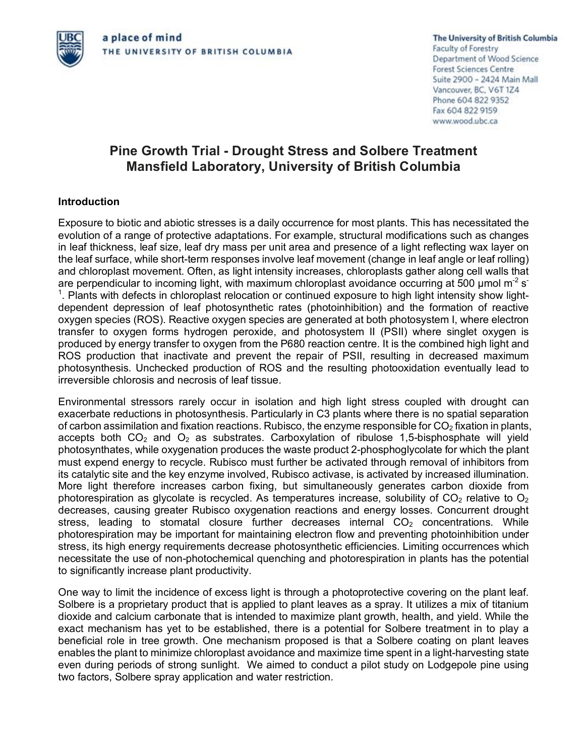

# **Pine Growth Trial - Drought Stress and Solbere Treatment Mansfield Laboratory, University of British Columbia**

# **Introduction**

Exposure to biotic and abiotic stresses is a daily occurrence for most plants. This has necessitated the evolution of a range of protective adaptations. For example, structural modifications such as changes in leaf thickness, leaf size, leaf dry mass per unit area and presence of a light reflecting wax layer on the leaf surface, while short-term responses involve leaf movement (change in leaf angle or leaf rolling) and chloroplast movement. Often, as light intensity increases, chloroplasts gather along cell walls that are perpendicular to incoming light, with maximum chloroplast avoidance occurring at 500  $\mu$ mol m<sup>-2</sup> s<sup>-</sup> <sup>1</sup>. Plants with defects in chloroplast relocation or continued exposure to high light intensity show lightdependent depression of leaf photosynthetic rates (photoinhibition) and the formation of reactive oxygen species (ROS). Reactive oxygen species are generated at both photosystem I, where electron transfer to oxygen forms hydrogen peroxide, and photosystem II (PSII) where singlet oxygen is produced by energy transfer to oxygen from the P680 reaction centre. It is the combined high light and ROS production that inactivate and prevent the repair of PSII, resulting in decreased maximum photosynthesis. Unchecked production of ROS and the resulting photooxidation eventually lead to irreversible chlorosis and necrosis of leaf tissue.

Environmental stressors rarely occur in isolation and high light stress coupled with drought can exacerbate reductions in photosynthesis. Particularly in C3 plants where there is no spatial separation of carbon assimilation and fixation reactions. Rubisco, the enzyme responsible for  $CO<sub>2</sub>$  fixation in plants, accepts both  $CO<sub>2</sub>$  and  $O<sub>2</sub>$  as substrates. Carboxylation of ribulose 1,5-bisphosphate will yield photosynthates, while oxygenation produces the waste product 2-phosphoglycolate for which the plant must expend energy to recycle. Rubisco must further be activated through removal of inhibitors from its catalytic site and the key enzyme involved, Rubisco activase, is activated by increased illumination. More light therefore increases carbon fixing, but simultaneously generates carbon dioxide from photorespiration as glycolate is recycled. As temperatures increase, solubility of  $CO<sub>2</sub>$  relative to  $O<sub>2</sub>$ decreases, causing greater Rubisco oxygenation reactions and energy losses. Concurrent drought stress, leading to stomatal closure further decreases internal  $CO<sub>2</sub>$  concentrations. While photorespiration may be important for maintaining electron flow and preventing photoinhibition under stress, its high energy requirements decrease photosynthetic efficiencies. Limiting occurrences which necessitate the use of non-photochemical quenching and photorespiration in plants has the potential to significantly increase plant productivity.

One way to limit the incidence of excess light is through a photoprotective covering on the plant leaf. Solbere is a proprietary product that is applied to plant leaves as a spray. It utilizes a mix of titanium dioxide and calcium carbonate that is intended to maximize plant growth, health, and yield. While the exact mechanism has yet to be established, there is a potential for Solbere treatment in to play a beneficial role in tree growth. One mechanism proposed is that a Solbere coating on plant leaves enables the plant to minimize chloroplast avoidance and maximize time spent in a light-harvesting state even during periods of strong sunlight. We aimed to conduct a pilot study on Lodgepole pine using two factors, Solbere spray application and water restriction.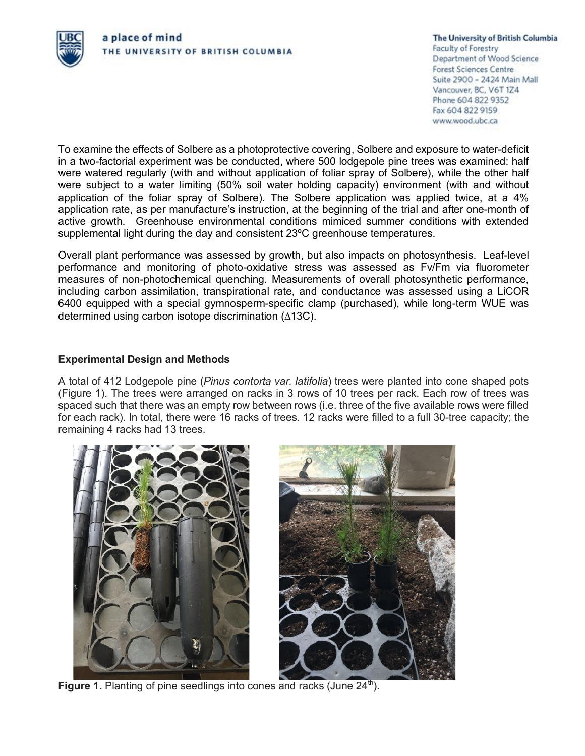To examine the effects of Solbere as a photoprotective covering, Solbere and exposure to water-deficit in a two-factorial experiment was be conducted, where 500 lodgepole pine trees was examined: half were watered regularly (with and without application of foliar spray of Solbere), while the other half were subject to a water limiting (50% soil water holding capacity) environment (with and without application of the foliar spray of Solbere). The Solbere application was applied twice, at a 4% application rate, as per manufacture's instruction, at the beginning of the trial and after one-month of active growth. Greenhouse environmental conditions mimiced summer conditions with extended supplemental light during the day and consistent 23ºC greenhouse temperatures.

Overall plant performance was assessed by growth, but also impacts on photosynthesis. Leaf-level performance and monitoring of photo-oxidative stress was assessed as Fv/Fm via fluorometer measures of non-photochemical quenching. Measurements of overall photosynthetic performance, including carbon assimilation, transpirational rate, and conductance was assessed using a LiCOR 6400 equipped with a special gymnosperm-specific clamp (purchased), while long-term WUE was determined using carbon isotope discrimination  $(\Delta 13C)$ .

# **Experimental Design and Methods**

A total of 412 Lodgepole pine (*Pinus contorta var. latifolia*) trees were planted into cone shaped pots (Figure 1). The trees were arranged on racks in 3 rows of 10 trees per rack. Each row of trees was spaced such that there was an empty row between rows (i.e. three of the five available rows were filled for each rack). In total, there were 16 racks of trees. 12 racks were filled to a full 30-tree capacity; the remaining 4 racks had 13 trees.



**Figure 1.** Planting of pine seedlings into cones and racks (June 24<sup>th</sup>).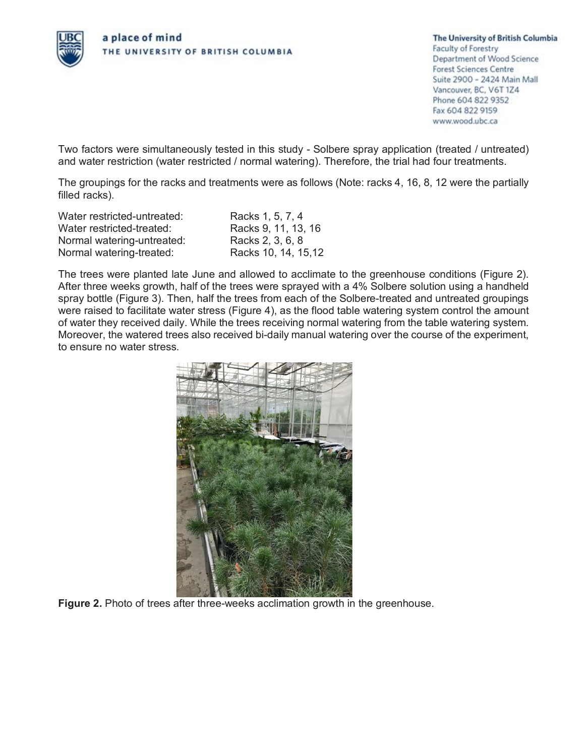

Two factors were simultaneously tested in this study - Solbere spray application (treated / untreated) and water restriction (water restricted / normal watering). Therefore, the trial had four treatments.

The groupings for the racks and treatments were as follows (Note: racks 4, 16, 8, 12 were the partially filled racks).

Water restricted-untreated: Racks 1, 5, 7, 4 Water restricted-treated: Racks 9, 11, 13, 16 Normal watering-untreated: Racks 2, 3, 6, 8 Normal watering-treated: Racks 10, 14, 15, 12

The trees were planted late June and allowed to acclimate to the greenhouse conditions (Figure 2). After three weeks growth, half of the trees were sprayed with a 4% Solbere solution using a handheld spray bottle (Figure 3). Then, half the trees from each of the Solbere-treated and untreated groupings were raised to facilitate water stress (Figure 4), as the flood table watering system control the amount of water they received daily. While the trees receiving normal watering from the table watering system. Moreover, the watered trees also received bi-daily manual watering over the course of the experiment, to ensure no water stress.



**Figure 2.** Photo of trees after three-weeks acclimation growth in the greenhouse.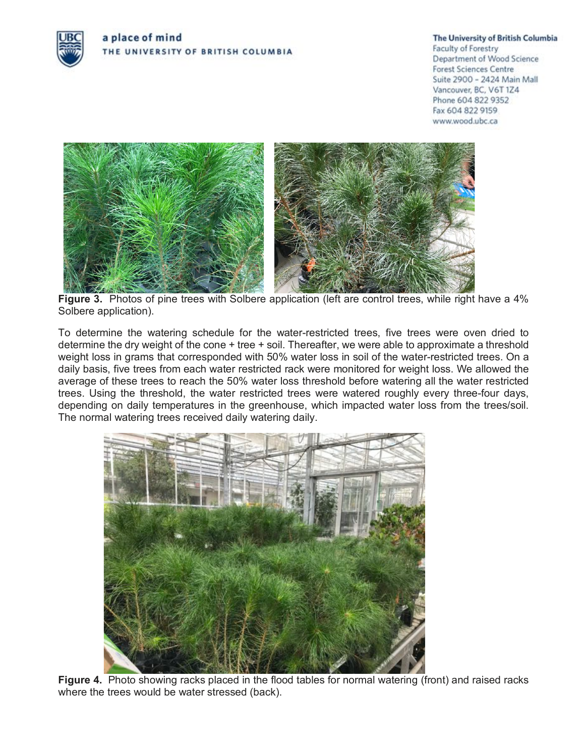

#### The University of British Columbia

Faculty of Forestry Department of Wood Science **Forest Sciences Centre** Suite 2900 - 2424 Main Mall Vancouver, BC, V6T 1Z4 Phone 604 822 9352 Fax 604 822 9159 www.wood.ubc.ca



**Figure 3.** Photos of pine trees with Solbere application (left are control trees, while right have a 4% Solbere application).

To determine the watering schedule for the water-restricted trees, five trees were oven dried to determine the dry weight of the cone + tree + soil. Thereafter, we were able to approximate a threshold weight loss in grams that corresponded with 50% water loss in soil of the water-restricted trees. On a daily basis, five trees from each water restricted rack were monitored for weight loss. We allowed the average of these trees to reach the 50% water loss threshold before watering all the water restricted trees. Using the threshold, the water restricted trees were watered roughly every three-four days, depending on daily temperatures in the greenhouse, which impacted water loss from the trees/soil. The normal watering trees received daily watering daily.



**Figure 4.** Photo showing racks placed in the flood tables for normal watering (front) and raised racks where the trees would be water stressed (back).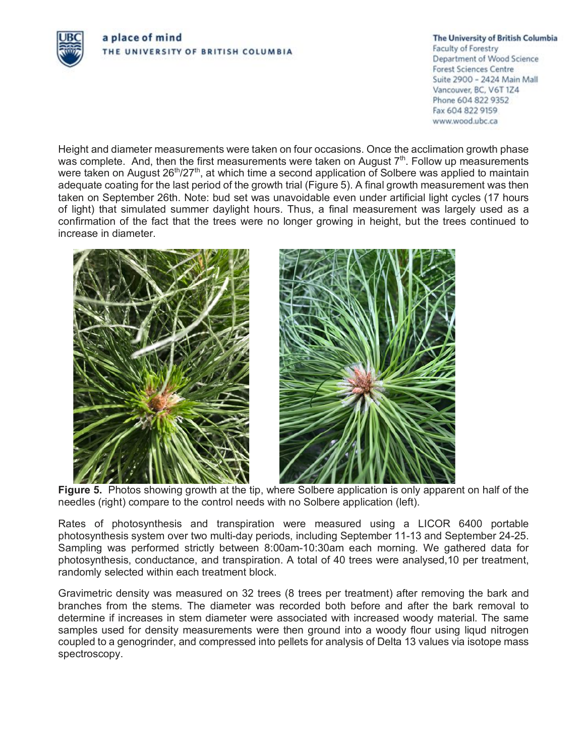

Height and diameter measurements were taken on four occasions. Once the acclimation growth phase was complete. And, then the first measurements were taken on August  $7<sup>th</sup>$ . Follow up measurements were taken on August  $26<sup>th</sup>/27<sup>th</sup>$ , at which time a second application of Solbere was applied to maintain adequate coating for the last period of the growth trial (Figure 5). A final growth measurement was then taken on September 26th. Note: bud set was unavoidable even under artificial light cycles (17 hours of light) that simulated summer daylight hours. Thus, a final measurement was largely used as a confirmation of the fact that the trees were no longer growing in height, but the trees continued to increase in diameter.





**Figure 5.** Photos showing growth at the tip, where Solbere application is only apparent on half of the needles (right) compare to the control needs with no Solbere application (left).

Rates of photosynthesis and transpiration were measured using a LICOR 6400 portable photosynthesis system over two multi-day periods, including September 11-13 and September 24-25. Sampling was performed strictly between 8:00am-10:30am each morning. We gathered data for photosynthesis, conductance, and transpiration. A total of 40 trees were analysed,10 per treatment, randomly selected within each treatment block.

Gravimetric density was measured on 32 trees (8 trees per treatment) after removing the bark and branches from the stems. The diameter was recorded both before and after the bark removal to determine if increases in stem diameter were associated with increased woody material. The same samples used for density measurements were then ground into a woody flour using liqud nitrogen coupled to a genogrinder, and compressed into pellets for analysis of Delta 13 values via isotope mass spectroscopy.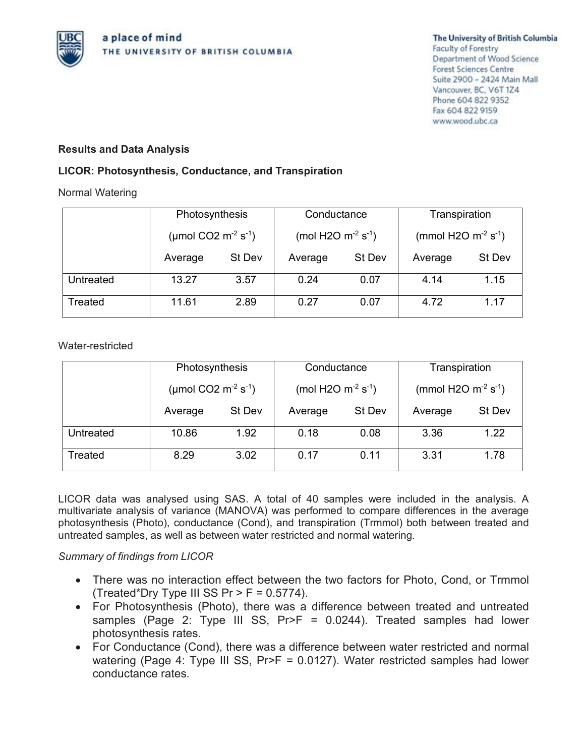

THE UNIVERSITY OF BRITISH COLUMBIA

The University of British Columbia Faculty of Forestry Department of Wood Science **Forest Sciences Centre** Suite 2900 - 2424 Main Mall Vancouver, BC, V6T 1Z4 Phone 604 822 9352 Fax 604 822 9159 www.wood.ubc.ca

# **Results and Data Analysis**

# **LICOR: Photosynthesis, Conductance, and Transpiration**

Normal Watering

|           | Photosynthesis                              |        | Conductance                          |        | Transpiration                       |        |
|-----------|---------------------------------------------|--------|--------------------------------------|--------|-------------------------------------|--------|
|           | (µmol CO2 m <sup>-2</sup> s <sup>-1</sup> ) |        | (mol H2O $\rm m^2$ s <sup>-1</sup> ) |        | (mmol H2O $\rm m^2\,s^{\text{-}1})$ |        |
|           | Average                                     | St Dev | Average                              | St Dev | Average                             | St Dev |
| Untreated | 13.27                                       | 3.57   | 0.24                                 | 0.07   | 4.14                                | 1.15   |
| Treated   | 11.61                                       | 2.89   | 0.27                                 | 0.07   | 4.72                                | 1 17   |

Water-restricted

|           | Photosynthesis<br>(µmol CO2 m <sup>-2</sup> s <sup>-1</sup> ) |        | Conductance                         |        | Transpiration                       |        |
|-----------|---------------------------------------------------------------|--------|-------------------------------------|--------|-------------------------------------|--------|
|           |                                                               |        | (mol H2O $m^{-2}$ s <sup>-1</sup> ) |        | (mmol H2O $\rm m^2\,s^{\text{-}1})$ |        |
|           | Average                                                       | St Dev | Average                             | St Dev | Average                             | St Dev |
| Untreated | 10.86                                                         | 1.92   | 0.18                                | 0.08   | 3.36                                | 1.22   |
| Treated   | 8.29                                                          | 3.02   | 0.17                                | 0.11   | 3.31                                | 1.78   |

LICOR data was analysed using SAS. A total of 40 samples were included in the analysis. A multivariate analysis of variance (MANOVA) was performed to compare differences in the average photosynthesis (Photo), conductance (Cond), and transpiration (Trmmol) both between treated and untreated samples, as well as between water restricted and normal watering.

*Summary of findings from LICOR*

- There was no interaction effect between the two factors for Photo, Cond, or Trmmol (Treated\*Dry Type III SS  $Pr > F = 0.5774$ ).
- For Photosynthesis (Photo), there was a difference between treated and untreated samples (Page 2: Type III SS, Pr>F = 0.0244). Treated samples had lower photosynthesis rates.
- For Conductance (Cond), there was a difference between water restricted and normal watering (Page 4: Type III SS, Pr>F = 0.0127). Water restricted samples had lower conductance rates.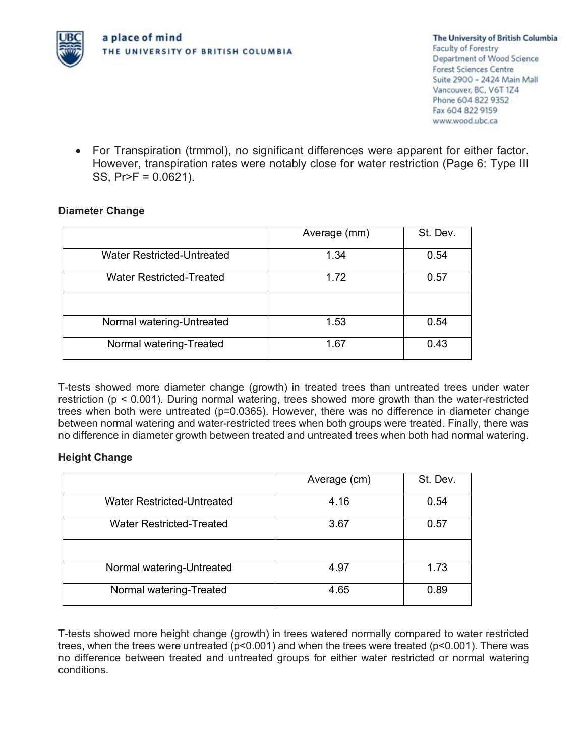

• For Transpiration (trmmol), no significant differences were apparent for either factor. However, transpiration rates were notably close for water restriction (Page 6: Type III SS, Pr>F = 0.0621).

# **Diameter Change**

|                            | Average (mm) | St. Dev. |
|----------------------------|--------------|----------|
| Water Restricted-Untreated | 1.34         | 0.54     |
| Water Restricted-Treated   | 1.72         | 0.57     |
|                            |              |          |
| Normal watering-Untreated  | 1.53         | 0.54     |
| Normal watering-Treated    | 1.67         | 0.43     |

T-tests showed more diameter change (growth) in treated trees than untreated trees under water restriction (p < 0.001). During normal watering, trees showed more growth than the water-restricted trees when both were untreated (p=0.0365). However, there was no difference in diameter change between normal watering and water-restricted trees when both groups were treated. Finally, there was no difference in diameter growth between treated and untreated trees when both had normal watering.

# **Height Change**

|                                   | Average (cm) | St. Dev. |
|-----------------------------------|--------------|----------|
| <b>Water Restricted-Untreated</b> | 4.16         | 0.54     |
| <b>Water Restricted-Treated</b>   | 3.67         | 0.57     |
|                                   |              |          |
| Normal watering-Untreated         | 4.97         | 1.73     |
| Normal watering-Treated           | 4.65         | 0.89     |

T-tests showed more height change (growth) in trees watered normally compared to water restricted trees, when the trees were untreated (p<0.001) and when the trees were treated (p<0.001). There was no difference between treated and untreated groups for either water restricted or normal watering conditions.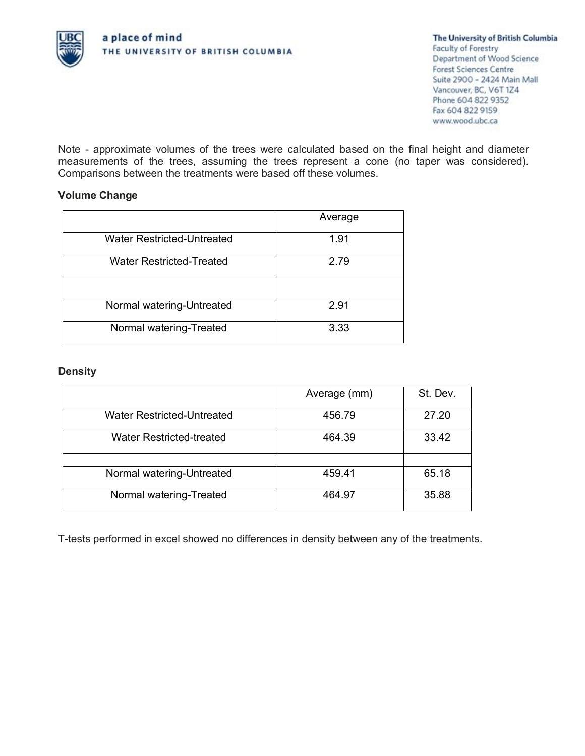

The University of British Columbia Faculty of Forestry Department of Wood Science **Forest Sciences Centre** Suite 2900 - 2424 Main Mall Vancouver, BC, V6T 1Z4

Phone 604 822 9352 Fax 604 822 9159 www.wood.ubc.ca

Note - approximate volumes of the trees were calculated based on the final height and diameter measurements of the trees, assuming the trees represent a cone (no taper was considered). Comparisons between the treatments were based off these volumes.

# **Volume Change**

|                                   | Average |
|-----------------------------------|---------|
| <b>Water Restricted-Untreated</b> | 1.91    |
| <b>Water Restricted-Treated</b>   | 2.79    |
|                                   |         |
| Normal watering-Untreated         | 2.91    |
| Normal watering-Treated           | 3.33    |

#### **Density**

|                                   | Average (mm) | St. Dev. |
|-----------------------------------|--------------|----------|
| <b>Water Restricted-Untreated</b> | 456.79       | 27.20    |
| <b>Water Restricted-treated</b>   | 464.39       | 33.42    |
|                                   |              |          |
| Normal watering-Untreated         | 459.41       | 65.18    |
| Normal watering-Treated           | 464.97       | 35.88    |

T-tests performed in excel showed no differences in density between any of the treatments.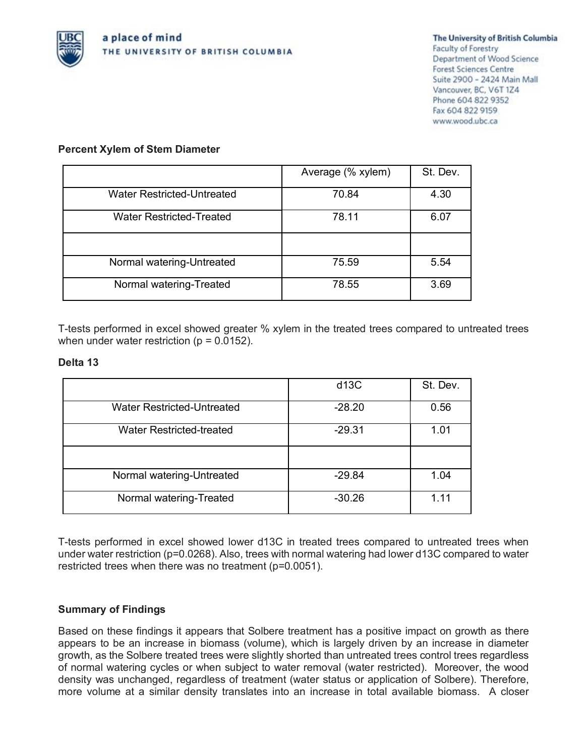

The University of British Columbia

Faculty of Forestry Department of Wood Science **Forest Sciences Centre** Suite 2900 - 2424 Main Mall Vancouver, BC, V6T 1Z4 Phone 604 822 9352 Fax 604 822 9159 www.wood.ubc.ca

### **Percent Xylem of Stem Diameter**

|                                 | Average (% xylem) | St. Dev. |
|---------------------------------|-------------------|----------|
| Water Restricted-Untreated      | 70.84             | 4.30     |
| <b>Water Restricted-Treated</b> | 78.11             | 6.07     |
|                                 |                   |          |
| Normal watering-Untreated       | 75.59             | 5.54     |
| Normal watering-Treated         | 78.55             | 3.69     |

T-tests performed in excel showed greater % xylem in the treated trees compared to untreated trees when under water restriction ( $p = 0.0152$ ).

#### **Delta 13**

|                                   | d13C     | St. Dev. |
|-----------------------------------|----------|----------|
| <b>Water Restricted-Untreated</b> | $-28.20$ | 0.56     |
| <b>Water Restricted-treated</b>   | $-29.31$ | 1.01     |
|                                   |          |          |
| Normal watering-Untreated         | $-29.84$ | 1.04     |
| Normal watering-Treated           | $-30.26$ | 1.11     |

T-tests performed in excel showed lower d13C in treated trees compared to untreated trees when under water restriction (p=0.0268). Also, trees with normal watering had lower d13C compared to water restricted trees when there was no treatment (p=0.0051).

# **Summary of Findings**

Based on these findings it appears that Solbere treatment has a positive impact on growth as there appears to be an increase in biomass (volume), which is largely driven by an increase in diameter growth, as the Solbere treated trees were slightly shorted than untreated trees control trees regardless of normal watering cycles or when subject to water removal (water restricted). Moreover, the wood density was unchanged, regardless of treatment (water status or application of Solbere). Therefore, more volume at a similar density translates into an increase in total available biomass. A closer